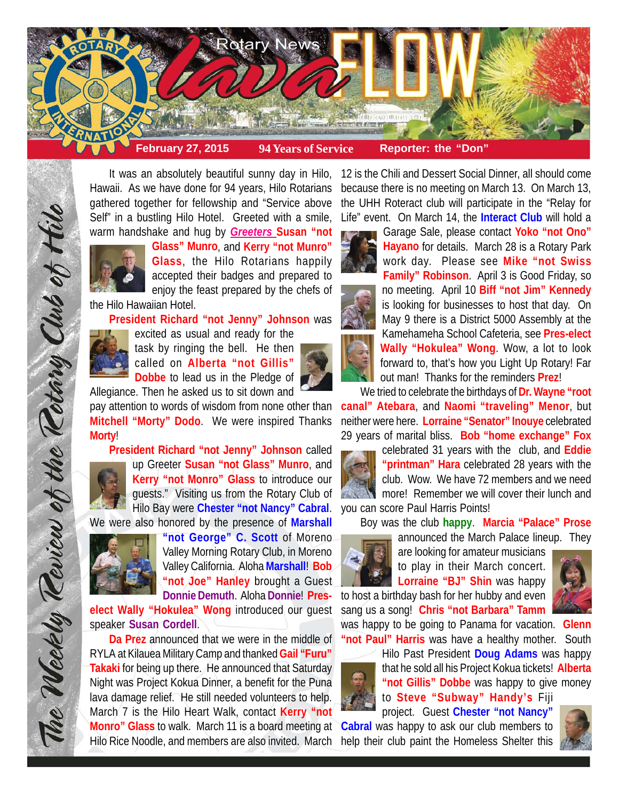

It was an absolutely beautiful sunny day in Hilo, Hawaii. As we have done for 94 years, Hilo Rotarians gathered together for fellowship and "Service above Self" in a bustling Hilo Hotel. Greeted with a smile, warm handshake and hug by *Greeters* **Susan "not**



**Glass" Munro**, and **Kerry "not Munro" Glass**, the Hilo Rotarians happily accepted their badges and prepared to enjoy the feast prepared by the chefs of

the Hilo Hawaiian Hotel.

**President Richard "not Jenny" Johnson** was



excited as usual and ready for the task by ringing the bell. He then called on **Alberta "not Gillis"**

**Dobbe** to lead us in the Pledge of Allegiance. Then he asked us to sit down and

pay attention to words of wisdom from none other than **Mitchell "Morty" Dodo**. We were inspired Thanks **Morty**!

**President Richard "not Jenny" Johnson** called

The Weekly Review of the Retary Club of Hilo

up Greeter **Susan "not Glass" Munro**, and **Kerry "not Monro" Glass** to introduce our guests." Visiting us from the Rotary Club of Hilo Bay were **Chester "not Nancy" Cabral**.

We were also honored by the presence of **Marshall**



**"not George" C. Scott** of Moreno Valley Morning Rotary Club, in Moreno Valley California. Aloha **Marshall**! **Bob "not Joe" Hanley** brought a Guest **Donnie Demuth**. Aloha **Donnie**! **Pres-**

**elect Wally "Hokulea" Wong** introduced our guest speaker **Susan Cordell**.

**Da Prez** announced that we were in the middle of RYLA at Kilauea Military Camp and thanked **Gail "Furu" Takaki** for being up there. He announced that Saturday Night was Project Kokua Dinner, a benefit for the Puna lava damage relief. He still needed volunteers to help. March 7 is the Hilo Heart Walk, contact **Kerry "not Monro" Glass** to walk. March 11 is a board meeting at Hilo Rice Noodle, and members are also invited. March

12 is the Chili and Dessert Social Dinner, all should come because there is no meeting on March 13. On March 13, the UHH Roteract club will participate in the "Relay for Life" event. On March 14, the **Interact Club** will hold a



Garage Sale, please contact **Yoko "not Ono" Hayano** for details. March 28 is a Rotary Park work day. Please see **Mike "not Swiss Family" Robinson**. April 3 is Good Friday, so no meeting. April 10 **Biff "not Jim" Kennedy** is looking for businesses to host that day. On May 9 there is a District 5000 Assembly at the Kamehameha School Cafeteria, see **Pres-elect Wally "Hokulea" Wong**. Wow, a lot to look forward to, that's how you Light Up Rotary! Far out man! Thanks for the reminders **Prez**!

We tried to celebrate the birthdays of **Dr. Wayne "root canal" Atebara**, and **Naomi "traveling" Menor**, but neither were here. **Lorraine "Senator" Inouye** celebrated 29 years of marital bliss. **Bob "home exchange" Fox**

celebrated 31 years with the club, and **Eddie "printman" Hara** celebrated 28 years with the club. Wow. We have 72 members and we need more! Remember we will cover their lunch and you can score Paul Harris Points!

Boy was the club **happy**. **Marcia "Palace" Prose**



announced the March Palace lineup. They are looking for amateur musicians to play in their March concert.

**Lorraine "BJ" Shin** was happy to host a birthday bash for her hubby and even sang us a song! **Chris "not Barbara" Tamm**



was happy to be going to Panama for vacation. **Glenn "not Paul" Harris** was have a healthy mother. South



Hilo Past President **Doug Adams** was happy that he sold all his Project Kokua tickets! **Alberta "not Gillis" Dobbe** was happy to give money to **Steve "Subway" Handy's** Fiji project. Guest **Chester "not Nancy"**

**Cabral** was happy to ask our club members to help their club paint the Homeless Shelter this